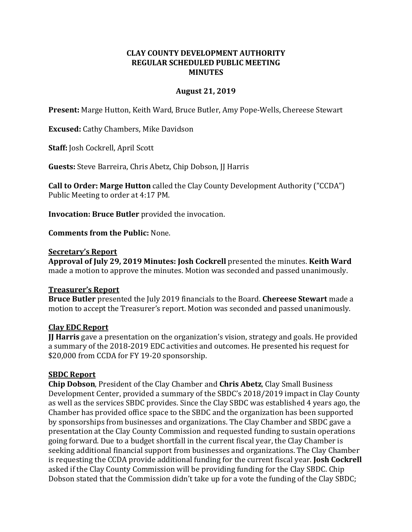## **CLAY COUNTY DEVELOPMENT AUTHORITY REGULAR SCHEDULED PUBLIC MEETING MINUTES**

### **August 21, 2019**

**Present:** Marge Hutton, Keith Ward, Bruce Butler, Amy Pope-Wells, Chereese Stewart

**Excused:** Cathy Chambers, Mike Davidson

**Staff:** Josh Cockrell, April Scott

**Guests:** Steve Barreira, Chris Abetz, Chip Dobson, JJ Harris

**Call to Order: Marge Hutton** called the Clay County Development Authority ("CCDA") Public Meeting to order at 4:17 PM.

**Invocation: Bruce Butler** provided the invocation.

**Comments from the Public:** None.

#### **Secretary's Report**

**Approval of July 29, 2019 Minutes: Josh Cockrell** presented the minutes. **Keith Ward** made a motion to approve the minutes. Motion was seconded and passed unanimously.

### **Treasurer's Report**

**Bruce Butler** presented the July 2019 financials to the Board. **Chereese Stewart** made a motion to accept the Treasurer's report. Motion was seconded and passed unanimously.

### **Clay EDC Report**

**JJ Harris** gave a presentation on the organization's vision, strategy and goals. He provided a summary of the 2018-2019 EDC activities and outcomes. He presented his request for \$20,000 from CCDA for FY 19-20 sponsorship.

## **SBDC Report**

**Chip Dobson**, President of the Clay Chamber and **Chris Abetz**, Clay Small Business Development Center, provided a summary of the SBDC's 2018/2019 impact in Clay County as well as the services SBDC provides. Since the Clay SBDC was established 4 years ago, the Chamber has provided office space to the SBDC and the organization has been supported by sponsorships from businesses and organizations. The Clay Chamber and SBDC gave a presentation at the Clay County Commission and requested funding to sustain operations going forward. Due to a budget shortfall in the current fiscal year, the Clay Chamber is seeking additional financial support from businesses and organizations. The Clay Chamber is requesting the CCDA provide additional funding for the current fiscal year. **Josh Cockrell**  asked if the Clay County Commission will be providing funding for the Clay SBDC. Chip Dobson stated that the Commission didn't take up for a vote the funding of the Clay SBDC;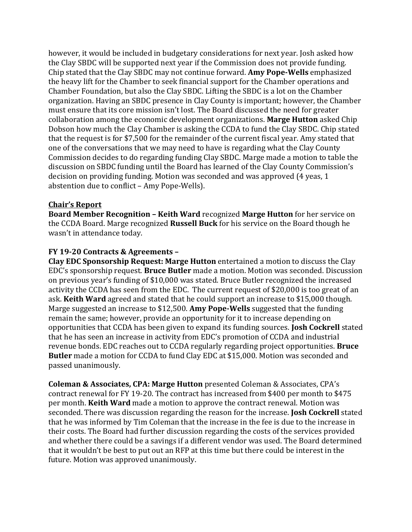however, it would be included in budgetary considerations for next year. Josh asked how the Clay SBDC will be supported next year if the Commission does not provide funding. Chip stated that the Clay SBDC may not continue forward. **Amy Pope-Wells** emphasized the heavy lift for the Chamber to seek financial support for the Chamber operations and Chamber Foundation, but also the Clay SBDC. Lifting the SBDC is a lot on the Chamber organization. Having an SBDC presence in Clay County is important; however, the Chamber must ensure that its core mission isn't lost. The Board discussed the need for greater collaboration among the economic development organizations. **Marge Hutton** asked Chip Dobson how much the Clay Chamber is asking the CCDA to fund the Clay SBDC. Chip stated that the request is for \$7,500 for the remainder of the current fiscal year. Amy stated that one of the conversations that we may need to have is regarding what the Clay County Commission decides to do regarding funding Clay SBDC. Marge made a motion to table the discussion on SBDC funding until the Board has learned of the Clay County Commission's decision on providing funding. Motion was seconded and was approved (4 yeas, 1 abstention due to conflict – Amy Pope-Wells).

### **Chair's Report**

**Board Member Recognition – Keith Ward** recognized **Marge Hutton** for her service on the CCDA Board. Marge recognized **Russell Buck** for his service on the Board though he wasn't in attendance today.

## **FY 19-20 Contracts & Agreements –**

**Clay EDC Sponsorship Request: Marge Hutton** entertained a motion to discuss the Clay EDC's sponsorship request. **Bruce Butler** made a motion. Motion was seconded. Discussion on previous year's funding of \$10,000 was stated. Bruce Butler recognized the increased activity the CCDA has seen from the EDC. The current request of \$20,000 is too great of an ask. **Keith Ward** agreed and stated that he could support an increase to \$15,000 though. Marge suggested an increase to \$12,500. **Amy Pope-Wells** suggested that the funding remain the same; however, provide an opportunity for it to increase depending on opportunities that CCDA has been given to expand its funding sources. **Josh Cockrell** stated that he has seen an increase in activity from EDC's promotion of CCDA and industrial revenue bonds. EDC reaches out to CCDA regularly regarding project opportunities. **Bruce Butler** made a motion for CCDA to fund Clay EDC at \$15,000. Motion was seconded and passed unanimously.

**Coleman & Associates, CPA: Marge Hutton** presented Coleman & Associates, CPA's contract renewal for FY 19-20. The contract has increased from \$400 per month to \$475 per month. **Keith Ward** made a motion to approve the contract renewal. Motion was seconded. There was discussion regarding the reason for the increase. **Josh Cockrell** stated that he was informed by Tim Coleman that the increase in the fee is due to the increase in their costs. The Board had further discussion regarding the costs of the services provided and whether there could be a savings if a different vendor was used. The Board determined that it wouldn't be best to put out an RFP at this time but there could be interest in the future. Motion was approved unanimously.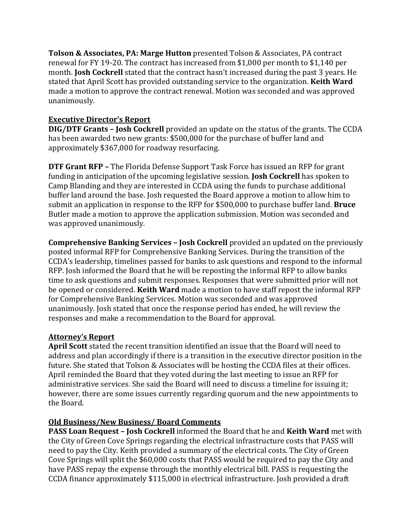**Tolson & Associates, PA: Marge Hutton** presented Tolson & Associates, PA contract renewal for FY 19-20. The contract has increased from \$1,000 per month to \$1,140 per month. **Josh Cockrell** stated that the contract hasn't increased during the past 3 years. He stated that April Scott has provided outstanding service to the organization. **Keith Ward** made a motion to approve the contract renewal. Motion was seconded and was approved unanimously.

# **Executive Director's Report**

**DIG/DTF Grants – Josh Cockrell** provided an update on the status of the grants. The CCDA has been awarded two new grants: \$500,000 for the purchase of buffer land and approximately \$367,000 for roadway resurfacing.

**DTF Grant RFP –** The Florida Defense Support Task Force has issued an RFP for grant funding in anticipation of the upcoming legislative session. **Josh Cockrell** has spoken to Camp Blanding and they are interested in CCDA using the funds to purchase additional buffer land around the base. Josh requested the Board approve a motion to allow him to submit an application in response to the RFP for \$500,000 to purchase buffer land. **Bruce**  Butler made a motion to approve the application submission. Motion was seconded and was approved unanimously.

**Comprehensive Banking Services – Josh Cockrell** provided an updated on the previously posted informal RFP for Comprehensive Banking Services. During the transition of the CCDA's leadership, timelines passed for banks to ask questions and respond to the informal RFP. Josh informed the Board that he will be reposting the informal RFP to allow banks time to ask questions and submit responses. Responses that were submitted prior will not be opened or considered. **Keith Ward** made a motion to have staff repost the informal RFP for Comprehensive Banking Services. Motion was seconded and was approved unanimously. Josh stated that once the response period has ended, he will review the responses and make a recommendation to the Board for approval.

# **Attorney's Report**

**April Scott** stated the recent transition identified an issue that the Board will need to address and plan accordingly if there is a transition in the executive director position in the future. She stated that Tolson & Associates will be hosting the CCDA files at their offices. April reminded the Board that they voted during the last meeting to issue an RFP for administrative services. She said the Board will need to discuss a timeline for issuing it; however, there are some issues currently regarding quorum and the new appointments to the Board.

# **Old Business/New Business/ Board Comments**

**PASS Loan Request – Josh Cockrell** informed the Board that he and **Keith Ward** met with the City of Green Cove Springs regarding the electrical infrastructure costs that PASS will need to pay the City. Keith provided a summary of the electrical costs. The City of Green Cove Springs will split the \$60,000 costs that PASS would be required to pay the City and have PASS repay the expense through the monthly electrical bill. PASS is requesting the CCDA finance approximately \$115,000 in electrical infrastructure. Josh provided a draft